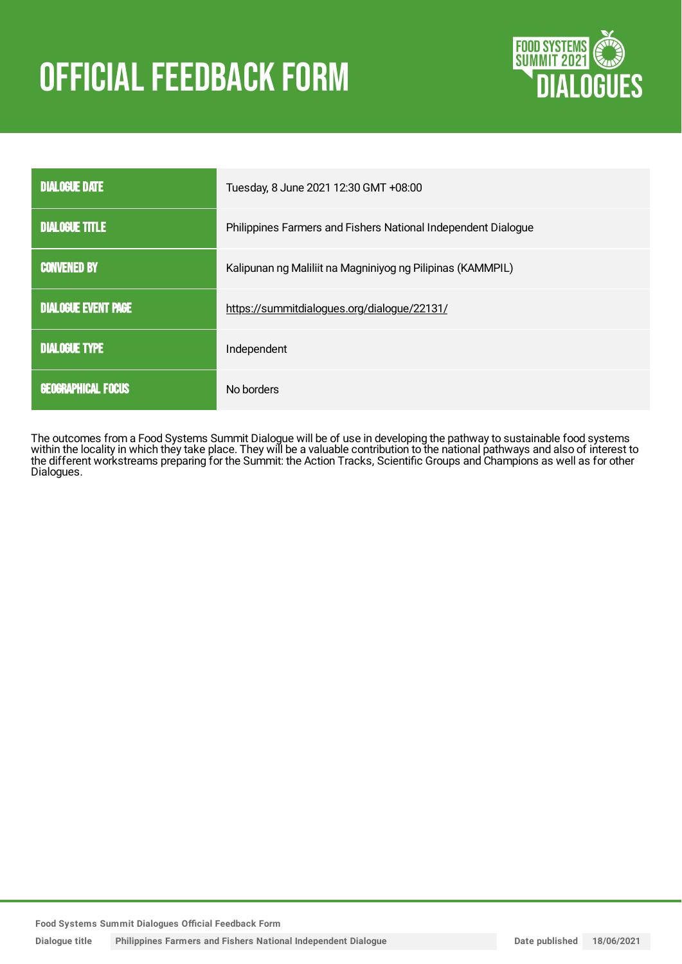# **OFFICIAL FEEDBACK FORM**



| <b>DIALOGUE DATE</b>       | Tuesday, 8 June 2021 12:30 GMT +08:00                         |
|----------------------------|---------------------------------------------------------------|
| <b>DIALOGUE TITLE</b>      | Philippines Farmers and Fishers National Independent Dialogue |
| <b>CONVENED BY</b>         | Kalipunan ng Maliliit na Magniniyog ng Pilipinas (KAMMPIL)    |
| <b>DIALOGUE EVENT PAGE</b> | https://summitdialogues.org/dialogue/22131/                   |
| <b>DIALOGUE TYPE</b>       | Independent                                                   |
| <b>GEOGRAPHICAL FOCUS</b>  | No borders                                                    |

The outcomes from a Food Systems Summit Dialogue will be of use in developing the pathway to sustainable food systems within the locality in which they take place. They will be a valuable contribution to the national pathways and also of interest to the different workstreams preparing for the Summit: the Action Tracks, Scientific Groups and Champions as well as for other Dialogues.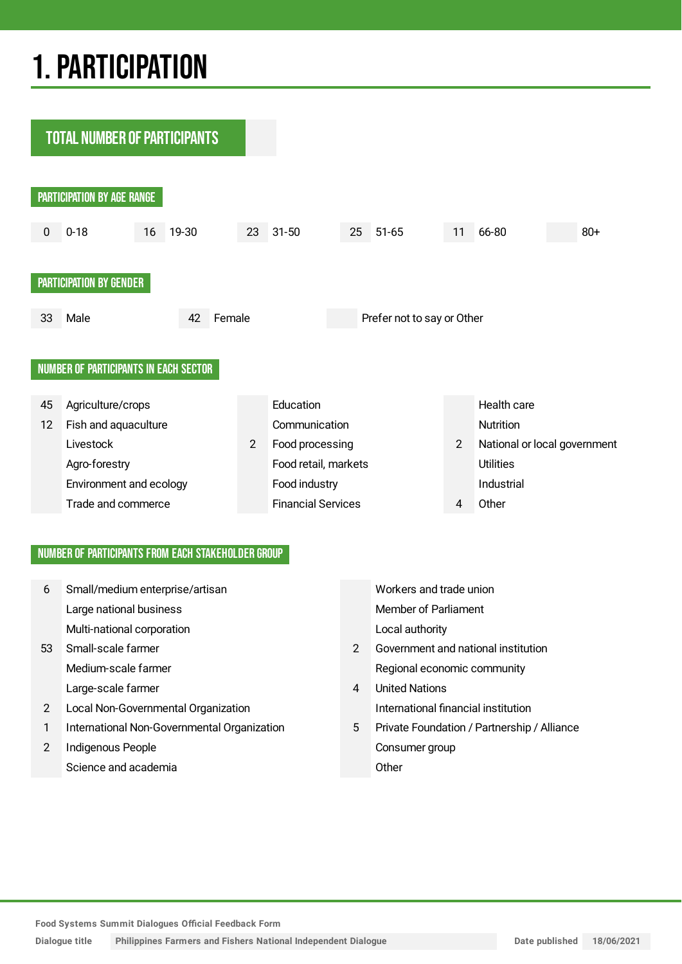## 1.PARTICIPATION

**TOTAL NUMBER OF PARTICIPANTS** 



#### NUMBER OF PARTICIPANTS FROM EACH STAKEHOLDER GROUP

| 6  | Small/medium enterprise/artisan             |               | Workers and trade union                     |
|----|---------------------------------------------|---------------|---------------------------------------------|
|    | Large national business                     |               | <b>Member of Parliament</b>                 |
|    | Multi-national corporation                  |               | Local authority                             |
| 53 | Small-scale farmer                          | $\mathcal{P}$ | Government and national institution         |
|    | Medium-scale farmer                         |               | Regional economic community                 |
|    | Large-scale farmer                          | 4             | <b>United Nations</b>                       |
| 2  | Local Non-Governmental Organization         |               | International financial institution         |
|    | International Non-Governmental Organization | 5             | Private Foundation / Partnership / Alliance |
| 2  | Indigenous People                           |               | Consumer group                              |
|    | Science and academia                        |               | Other                                       |

**Food Systems Summit Dialogues Official Feedback Form**

**Dialogue title Philippines Farmers and Fishers National Independent Dialogue Date published 18/06/2021**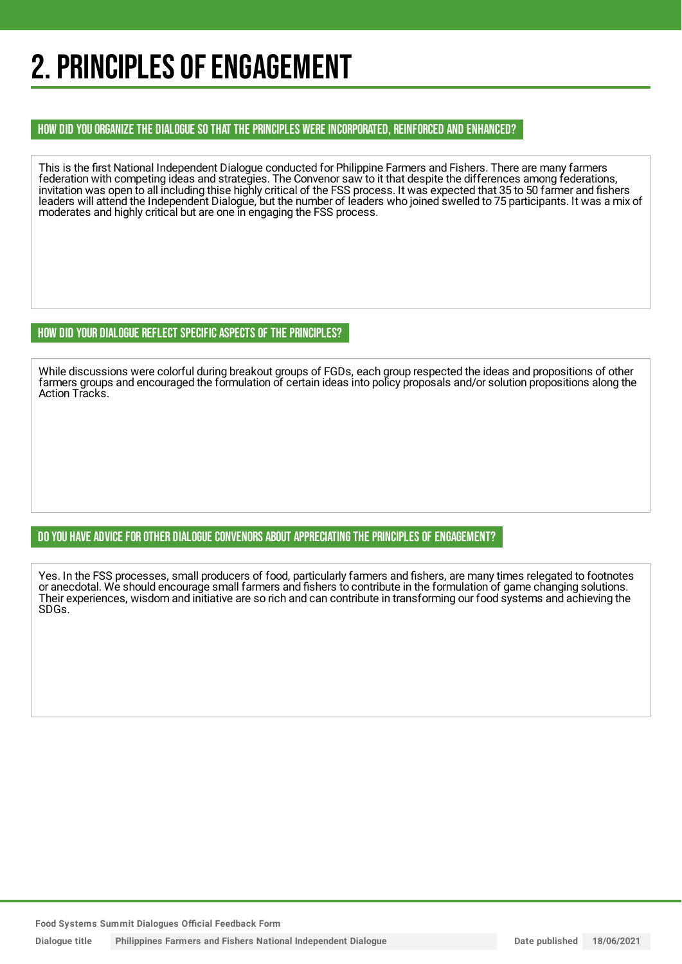### 2. PRINCIPLES OF ENGAGEMENT

#### HOW DID YOU ORGANIZE THE DIALOGUE SO THAT THE PRINCIPLES WERE INCORPORATED, REINFORCED AND ENHANCED?

This is the first National Independent Dialogue conducted for Philippine Farmers and Fishers. There are many farmers federation with competing ideas and strategies. The Convenor saw to it that despite the differences among federations, invitation was open to all including thise highly critical of the FSS process. It was expected that 35 to 50 farmer and fishers leaders will attend the Independent Dialogue, but the number of leaders who joined swelled to 75 participants. It was a mix of moderates and highly critical but are one in engaging the FSS process.

#### HOW DID YOUR DIALOGUE REFLECT SPECIFIC ASPECTS OF THE PRINCIPLES?

While discussions were colorful during breakout groups of FGDs, each group respected the ideas and propositions of other farmers groups and encouraged the formulation of certain ideas into policy proposals and/or solution propositions along the Action Tracks.

#### DO YOU HAVE ADVICE FOR OTHER DIALOGUE CONVENORS ABOUT APPRECIATINGTHE PRINCIPLES OF ENGAGEMENT?

Yes. In the FSS processes, small producers of food, particularly farmers and fishers, are many times relegated to footnotes or anecdotal. We should encourage small farmers and fishers to contribute in the formulation of game changing solutions. Their experiences, wisdom and initiative are so rich and can contribute in transforming our food systems and achieving the SDGs.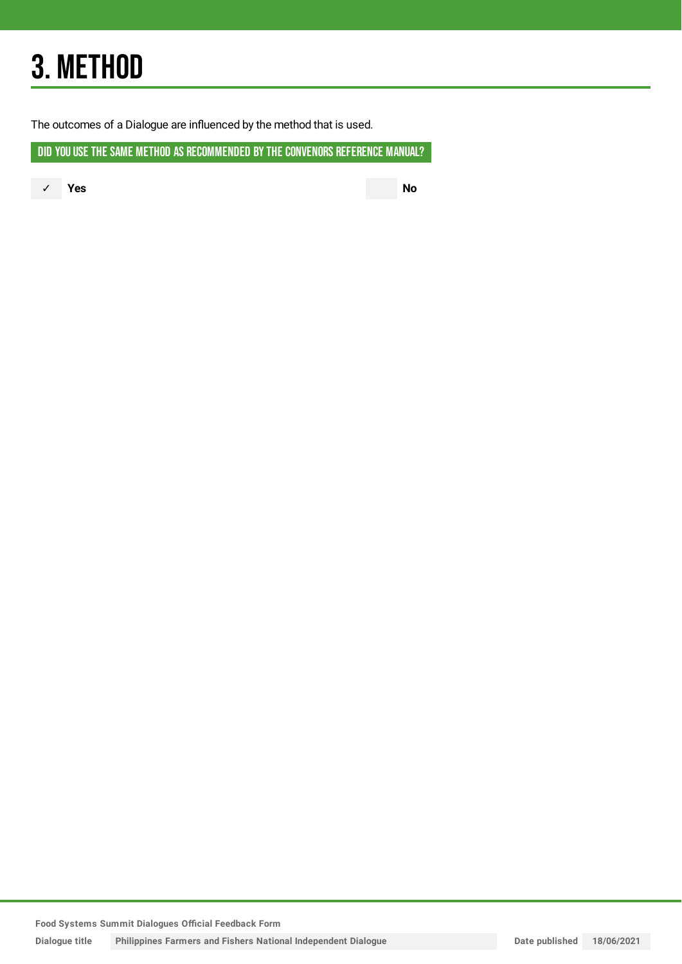## 3. METHOD

The outcomes of a Dialogue are influenced by the method that is used.

DID YOU USE THE SAME METHOD AS RECOMMENDED BY THE CONVENORS REFERENCE MANUAL?

✓ **Yes No**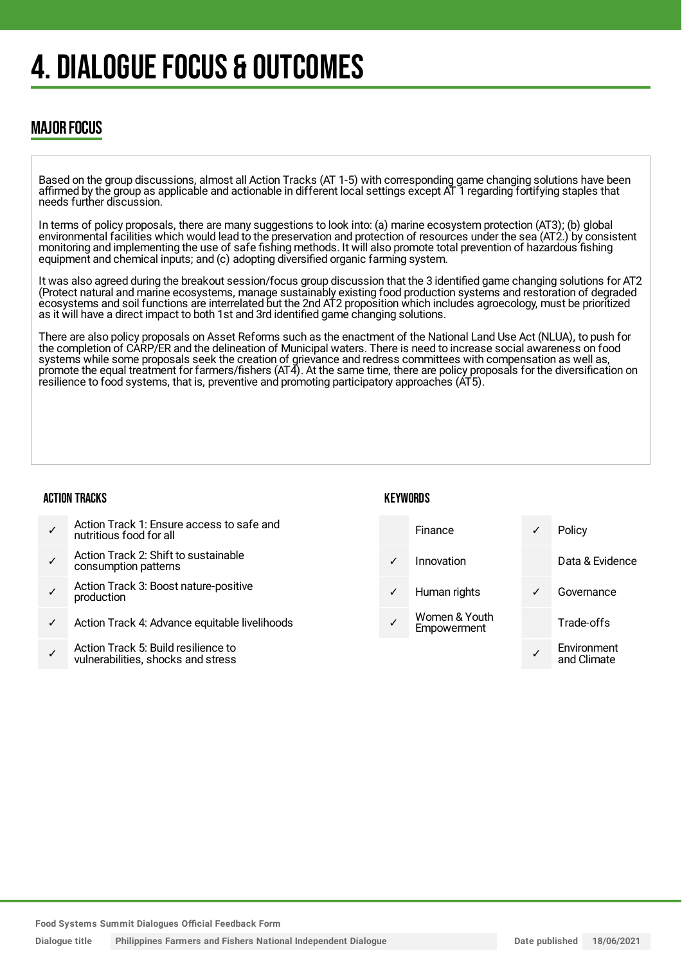## 4. DIALOGUE FOCUS & OUTCOMES

### MAJOR FOCUS

Based on the group discussions, almost all Action Tracks (AT 1-5) with corresponding game changing solutions have been affirmed by the group as applicable and actionable in different local settings except AT 1 regarding fortifying staples that needs further discussion.

In terms of policy proposals, there are many suggestions to look into: (a) marine ecosystem protection (AT3); (b) global environmental facilities which would lead to the preservation and protection of resources under the sea (AT2.) by consistent monitoring and implementing the use of safe fishing methods. It will also promote total prevention of hazardous fishing equipment and chemical inputs; and (c) adopting diversified organic farming system.

It was also agreed during the breakout session/focus group discussion that the 3 identified game changing solutions for AT2 (Protect natural and marine ecosystems, manage sustainably existing food production systems and restoration of degraded ecosystems and soil functions are interrelated but the 2nd AT2 proposition which includes agroecology, must be prioritized as it will have a direct impact to both 1st and 3rd identified game changing solutions.

There are also policy proposals on Asset Reforms such as the enactment of the National Land Use Act (NLUA), to push for the completion of CARP/ER and the delineation of Municipal waters. There is need to increase social awareness on food systems while some proposals seek the creation of grievance and redress committees with compensation as well as, promote the equal treatment for farmers/fishers (AT4). At the same time, there are policy proposals for the diversification on resilience to food systems, that is, preventive and promoting participatory approaches (AT5).

#### ACTION TRACKS

#### **KFYWORDS**

| Action Track 1: Ensure access to safe and<br>nutritious food for all |
|----------------------------------------------------------------------|
|                                                                      |

- ✓ Action Track 2: Shift to sustainable consumption patterns
- ✓ Action Track 3: Boost nature-positive production
- Action Track 4: Advance equitable livelihoods
- ✓ Action Track 5: Build resilience to vulnerabilities, shocks and stress



**Food Systems Summit Dialogues Official Feedback Form**

**Dialogue title Philippines Farmers and Fishers National Independent Dialogue Date published 18/06/2021**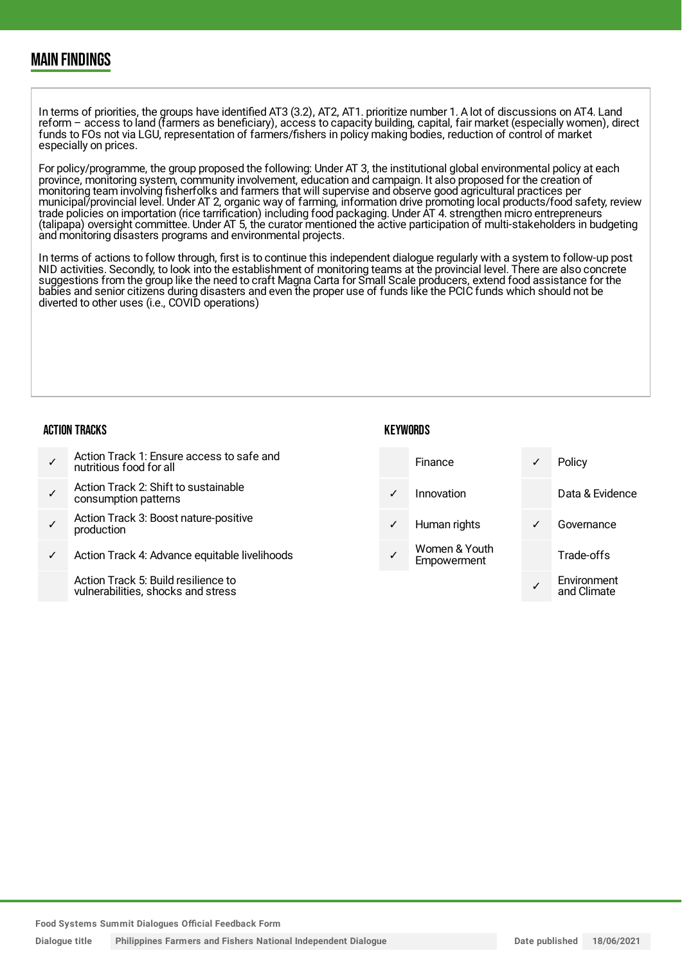### MAIN FINDINGS

In terms of priorities, the groups have identified AT3 (3.2), AT2, AT1. prioritize number 1. A lot of discussions on AT4. Land reform – access to land (farmers as beneficiary), access to capacity building, capital, fair market (especially women), direct funds to FOs not via LGU, representation of farmers/fishers in policy making bodies, reduction of control of market especially on prices.

For policy/programme, the group proposed the following: Under AT 3, the institutional global environmental policy at each province, monitoring system, community involvement, education and campaign. It also proposed for the creation of monitoring team involving fisherfolks and farmers that will supervise and observe good agricultural practices per municipal/provincial level. Under AT 2, organic way of farming, information drive promoting local products/food safety, review trade policies on importation (rice tarrification) including food packaging. Under AT 4. strengthen micro entrepreneurs (talipapa) oversight committee. Under AT 5, the curator mentioned the active participation of multi-stakeholders in budgeting and monitoring disasters programs and environmental projects.

In terms of actions to follow through, first is to continue this independent dialogue regularly with a system to follow-up post NID activities. Secondly, to look into the establishment of monitoring teams at the provincial level. There are also concrete suggestions from the group like the need to craft Magna Carta for Small Scale producers, extend food assistance for the babies and senior citizens during disasters and even the proper use of funds like the PCIC funds which should not be diverted to other uses (i.e., COVID operations)

**KEYWORDS** 

#### ACTION TRACKS

- ✓ Action Track 1: Ensure access to safe and nutritious food for all
- ✓ Action Track 2: Shift to sustainable consumption patterns
- ✓ Action Track 3: Boost nature-positive production
- Action Track 4: Advance equitable livelihoods

Action Track 5: Build resilience to vulnerabilities, shocks and stress

|              | Finance                      | ✓ | Policy                     |
|--------------|------------------------------|---|----------------------------|
|              | Innovation                   |   | Data & Evidence            |
| $\checkmark$ | Human rights                 |   | Governance                 |
|              | Women & Youth<br>Empowerment |   | Trade-offs                 |
|              |                              |   | Environment<br>and Climate |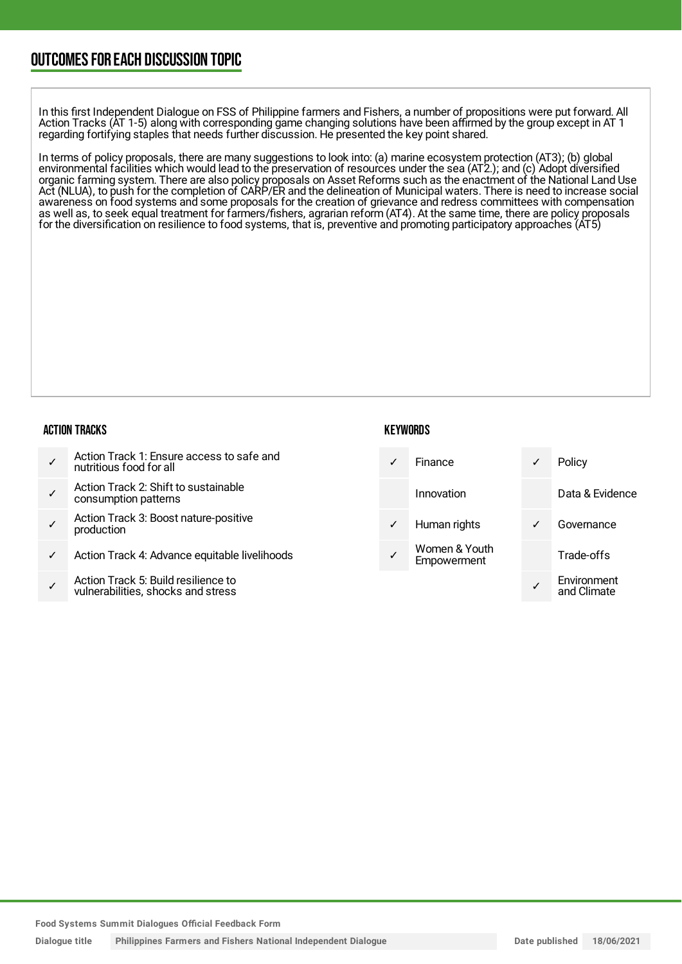### OUTCOMESFOR EACH DISCUSSION TOPIC

In this first Independent Dialogue on FSS of Philippine farmers and Fishers, a number of propositions were put forward. All Action Tracks (AT 1-5) along with corresponding game changing solutions have been affirmed by the group except in AT 1 regarding fortifying staples that needs further discussion. He presented the key point shared.

In terms of policy proposals, there are many suggestions to look into: (a) marine ecosystem protection (AT3); (b) global environmental facilities which would lead to the preservation of resources under the sea (AT2.); and (c) Adopt diversified organic farming system. There are also policy proposals on Asset Reforms such as the enactment of the National Land Use Act (NLUA), to push for the completion of CARP/ER and the delineation of Municipal waters. There is need to increase social awareness on food systems and some proposals for the creation of grievance and redress committees with compensation as well as, to seek equal treatment for farmers/fishers, agrarian reform (AT4). At the same time, there are policy proposals for the diversification on resilience to food systems, that is, preventive and promoting participatory approaches (AT5)

#### ACTION TRACKS

- ✓ Action Track 1: Ensure access to safe and nutritious food for all
- ✓ Action Track 2: Shift to sustainable consumption patterns
- ✓ Action Track 3: Boost nature-positive production
- Action Track 4: Advance equitable livelihoods
- ✓ Action Track 5: Build resilience to vulnerabilities, shocks and stress

#### **KEYWORDS**



**Food Systems Summit Dialogues Official Feedback Form**

**Dialogue title Philippines Farmers and Fishers National Independent Dialogue Date published 18/06/2021**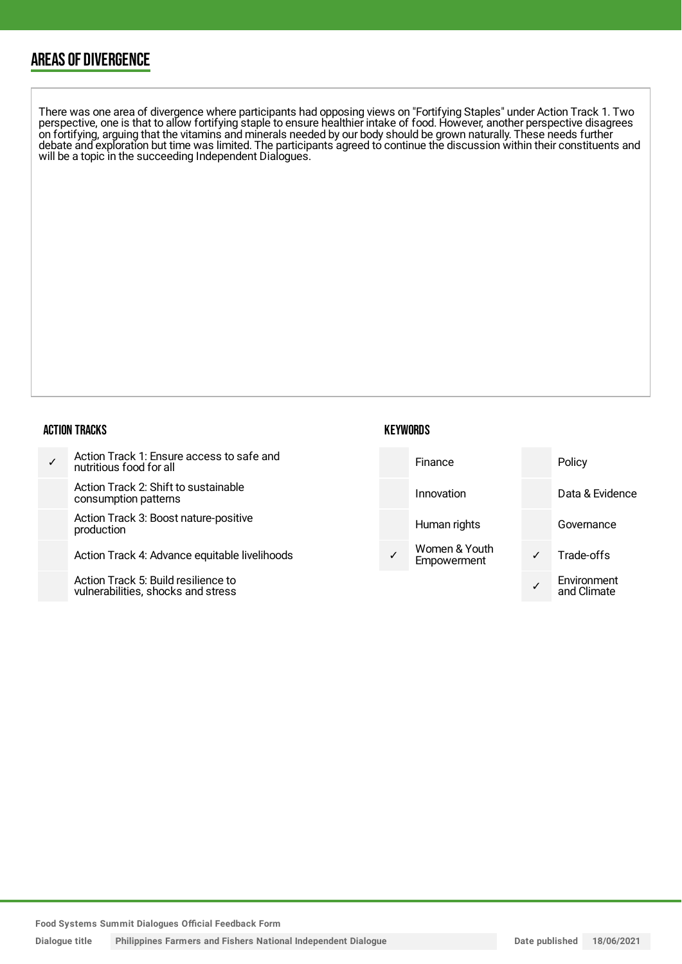### AREAS OF DIVERGENCE

There was one area of divergence where participants had opposing views on "Fortifying Staples" under Action Track 1. Two perspective, one is that to allow fortifying staple to ensure healthier intake of food. However, another perspective disagrees on fortifying, arguing that the vitamins and minerals needed by our body should be grown naturally. These needs further debate and exploration but time was limited. The participants agreed to continue the discussion within their constituents and will be a topic in the succeeding Independent Dialogues.

#### ACTION TRACKS

| Action Track 1: Ensure access to safe and<br>nutritious food for all      | Finance                      | Policy                     |
|---------------------------------------------------------------------------|------------------------------|----------------------------|
| Action Track 2: Shift to sustainable<br>consumption patterns              | Innovation                   | Data & Evidence            |
| Action Track 3: Boost nature-positive<br>production                       | Human rights                 | Governance                 |
| Action Track 4: Advance equitable livelihoods                             | Women & Youth<br>Empowerment | Trade-offs                 |
| Action Track 5: Build resilience to<br>vulnerabilities, shocks and stress |                              | Environment<br>and Climate |

**KEYWORDS**